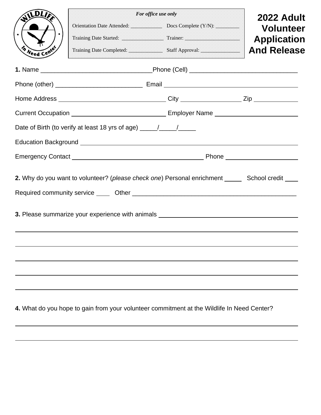|                                                                                                                        | For office use only                                                                               | 2022 Adult |                    |  |  |
|------------------------------------------------------------------------------------------------------------------------|---------------------------------------------------------------------------------------------------|------------|--------------------|--|--|
|                                                                                                                        |                                                                                                   |            | <b>Volunteer</b>   |  |  |
|                                                                                                                        |                                                                                                   |            | <b>Application</b> |  |  |
| <b>Meed Center</b>                                                                                                     |                                                                                                   |            | <b>And Release</b> |  |  |
|                                                                                                                        |                                                                                                   |            |                    |  |  |
|                                                                                                                        |                                                                                                   |            |                    |  |  |
|                                                                                                                        |                                                                                                   |            |                    |  |  |
|                                                                                                                        |                                                                                                   |            |                    |  |  |
|                                                                                                                        | Date of Birth (to verify at least 18 yrs of age) _______________________________                  |            |                    |  |  |
|                                                                                                                        | Education Background <b>Education</b> Background                                                  |            |                    |  |  |
|                                                                                                                        |                                                                                                   |            |                    |  |  |
|                                                                                                                        | 2. Why do you want to volunteer? (please check one) Personal enrichment ______ School credit ____ |            |                    |  |  |
|                                                                                                                        |                                                                                                   |            |                    |  |  |
|                                                                                                                        |                                                                                                   |            |                    |  |  |
| 3. Please summarize your experience with animals <b>Source Accept and Serverse Control</b> on the server of the server |                                                                                                   |            |                    |  |  |
|                                                                                                                        |                                                                                                   |            |                    |  |  |
|                                                                                                                        |                                                                                                   |            |                    |  |  |
|                                                                                                                        |                                                                                                   |            |                    |  |  |
|                                                                                                                        |                                                                                                   |            |                    |  |  |
|                                                                                                                        |                                                                                                   |            |                    |  |  |

**4.** What do you hope to gain from your volunteer commitment at the Wildlife In Need Center?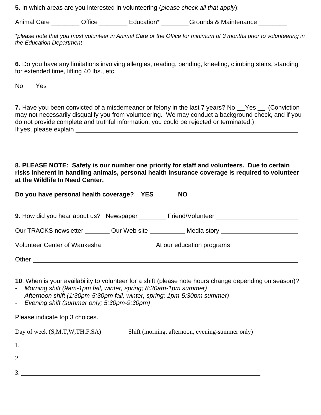**5.** In which areas are you interested in volunteering (*please check all that apply*):

Animal Care **Contact Care** Contice **Contact Contact Contact Contact Contact Contact Contact Contact Contact Conta** 

*\*please note that you must volunteer in Animal Care or the Office for minimum of 3 months prior to volunteering in the Education Department* 

**6.** Do you have any limitations involving allergies, reading, bending, kneeling, climbing stairs, standing for extended time, lifting 40 lbs., etc.

No Yes **No Yes** Research **No Yes** Research **No Yes** Research **No Yes** Research **No Yes** Research **No Yes** Research **No Yes** Research **No Yes** Research **No Yes** Research **No Yes** Research **No Yes** Research **No Yes** Research

**7.** Have you been convicted of a misdemeanor or felony in the last 7 years? No \_\_Yes \_\_ (Conviction may not necessarily disqualify you from volunteering. We may conduct a background check, and if you do not provide complete and truthful information, you could be rejected or terminated.) If yes, please explain

**8. PLEASE NOTE: Safety is our number one priority for staff and volunteers. Due to certain risks inherent in handling animals, personal health insurance coverage is required to volunteer at the Wildlife In Need Center.** 

**Do you have personal health coverage? YES \_\_\_\_\_\_ NO \_\_\_\_\_\_**

| <b>9.</b> How did you hear about us? Newspaper _____ | Friend/Volunteer                                                                                                                                                                                                               |  |
|------------------------------------------------------|--------------------------------------------------------------------------------------------------------------------------------------------------------------------------------------------------------------------------------|--|
| Our TRACKS newsletter Our Web site                   | Media story and the story and the state of the story and the story and the state of the state of the state of the state of the state of the state of the state of the state of the state of the state of the state of the stat |  |
| Volunteer Center of Waukesha                         | At our education programs                                                                                                                                                                                                      |  |
| Other                                                |                                                                                                                                                                                                                                |  |

**10**. When is your availability to volunteer for a shift (please note hours change depending on season)?

- *Morning shift (9am-1pm fall, winter, spring; 8:30am-1pm summer)*
- *Afternoon shift (1:30pm-5:30pm fall, winter, spring; 1pm-5:30pm summer)*
- *Evening shift (summer only; 5:30pm-9:30pm)*

Please indicate top 3 choices.

Day of week (S,M,T,W,TH,F,SA) Shift (morning, afternoon, evening-summer only) 1.

| - |  |
|---|--|
|   |  |
| ີ |  |